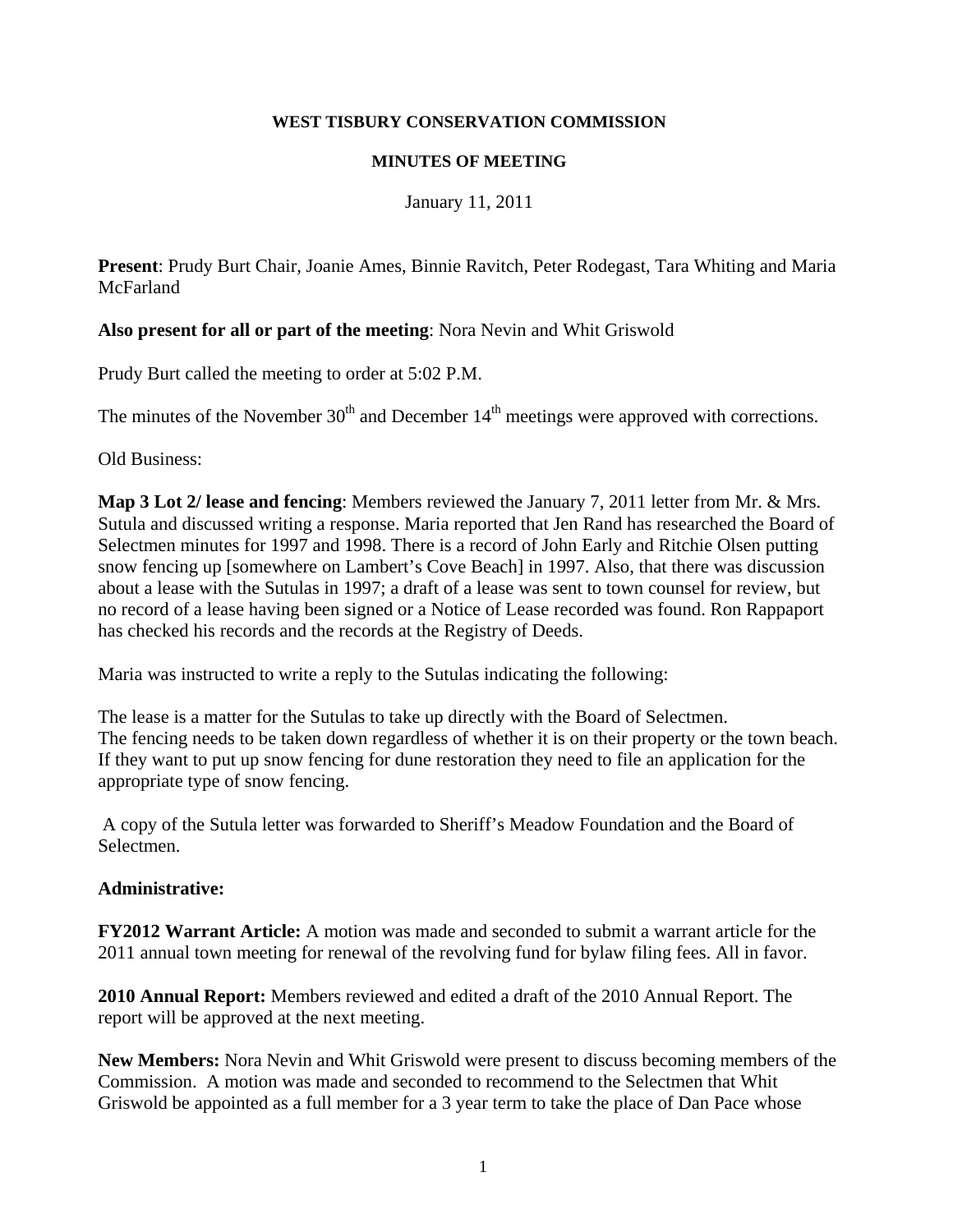### **WEST TISBURY CONSERVATION COMMISSION**

### **MINUTES OF MEETING**

January 11, 2011

**Present**: Prudy Burt Chair, Joanie Ames, Binnie Ravitch, Peter Rodegast, Tara Whiting and Maria **McFarland** 

### **Also present for all or part of the meeting**: Nora Nevin and Whit Griswold

Prudy Burt called the meeting to order at 5:02 P.M.

The minutes of the November  $30<sup>th</sup>$  and December  $14<sup>th</sup>$  meetings were approved with corrections.

Old Business:

**Map 3 Lot 2/ lease and fencing**: Members reviewed the January 7, 2011 letter from Mr. & Mrs. Sutula and discussed writing a response. Maria reported that Jen Rand has researched the Board of Selectmen minutes for 1997 and 1998. There is a record of John Early and Ritchie Olsen putting snow fencing up [somewhere on Lambert's Cove Beach] in 1997. Also, that there was discussion about a lease with the Sutulas in 1997; a draft of a lease was sent to town counsel for review, but no record of a lease having been signed or a Notice of Lease recorded was found. Ron Rappaport has checked his records and the records at the Registry of Deeds.

Maria was instructed to write a reply to the Sutulas indicating the following:

The lease is a matter for the Sutulas to take up directly with the Board of Selectmen. The fencing needs to be taken down regardless of whether it is on their property or the town beach. If they want to put up snow fencing for dune restoration they need to file an application for the appropriate type of snow fencing.

 A copy of the Sutula letter was forwarded to Sheriff's Meadow Foundation and the Board of Selectmen.

## **Administrative:**

**FY2012 Warrant Article:** A motion was made and seconded to submit a warrant article for the 2011 annual town meeting for renewal of the revolving fund for bylaw filing fees. All in favor.

**2010 Annual Report:** Members reviewed and edited a draft of the 2010 Annual Report. The report will be approved at the next meeting.

**New Members:** Nora Nevin and Whit Griswold were present to discuss becoming members of the Commission. A motion was made and seconded to recommend to the Selectmen that Whit Griswold be appointed as a full member for a 3 year term to take the place of Dan Pace whose